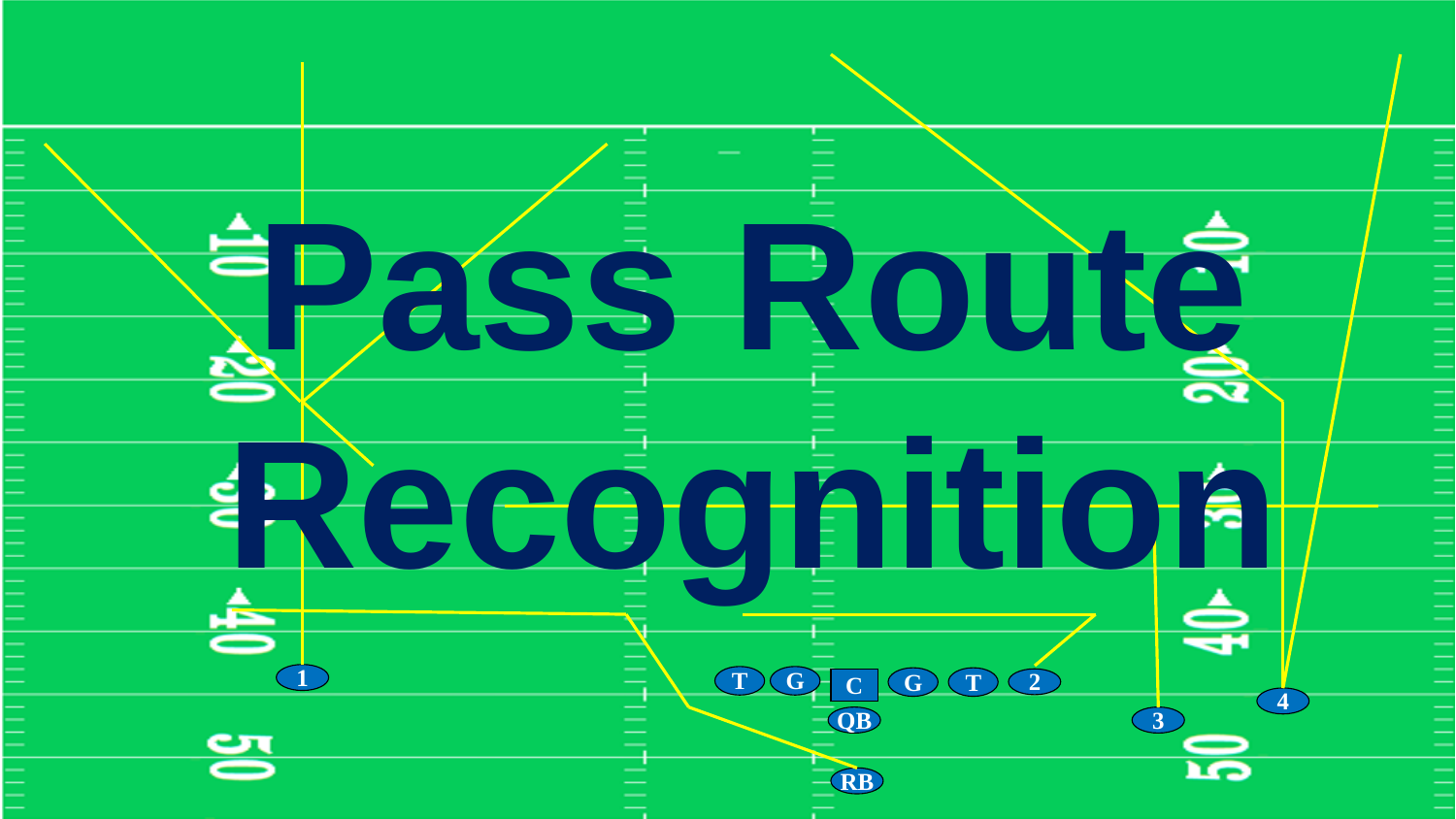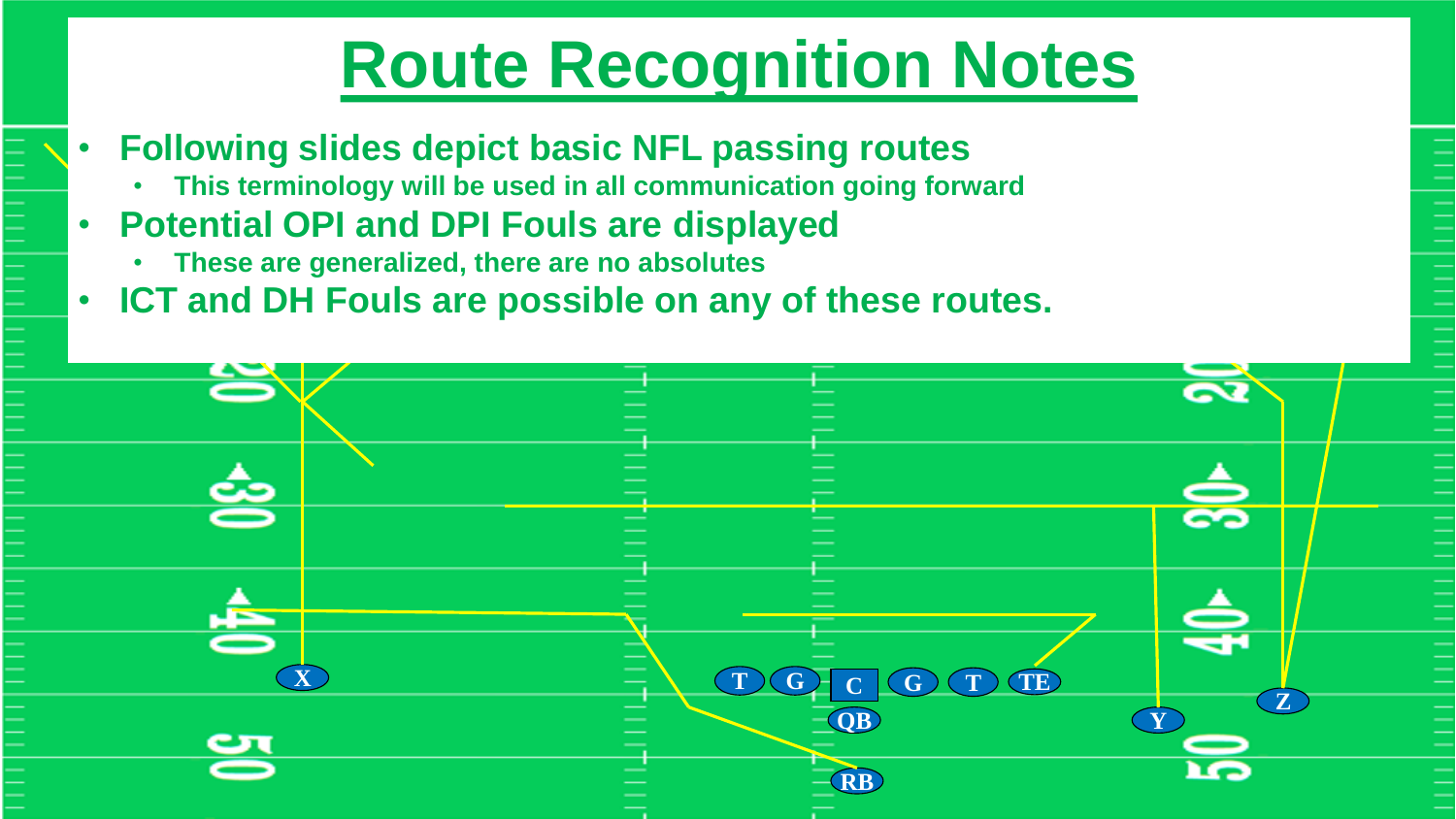# **Route Recognition Notes**

- **Following slides depict basic NFL passing routes**
	- **This terminology will be used in all communication going forward**
- **Potential OPI and DPI Fouls are displayed**
	- **These are generalized, there are no absolutes**
- **ICT and DH Fouls are possible on any of these routes.**

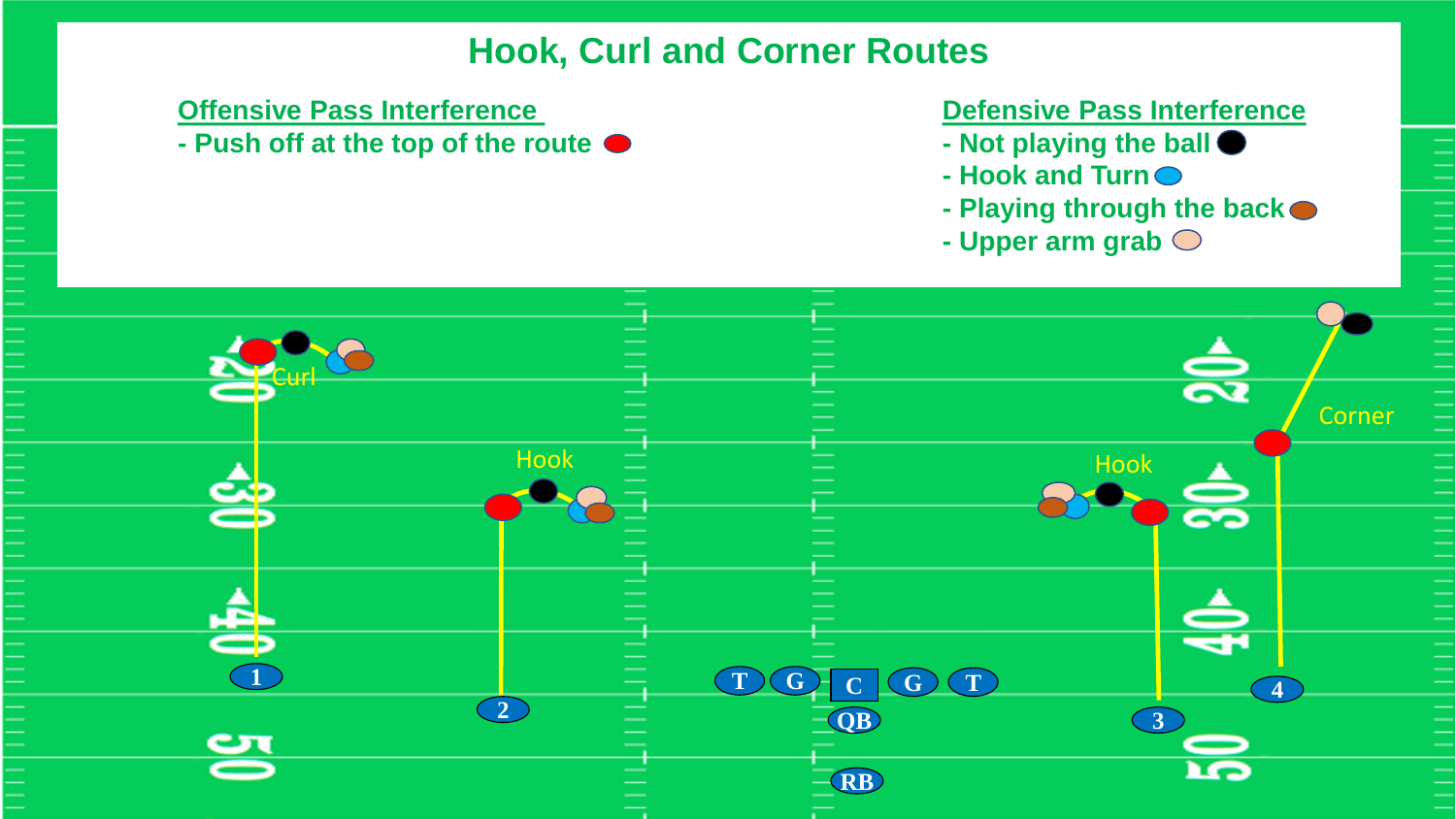# **Hook, Curl and Corner Routes**

**- Push off at the top of the route - Not playing the ball**

### **Offensive Pass Interference Contract Contract Contract Defensive Pass Interference**

- 
- **- Hook and Turn**
- **- Playing through the back**
- **- Upper arm grab**

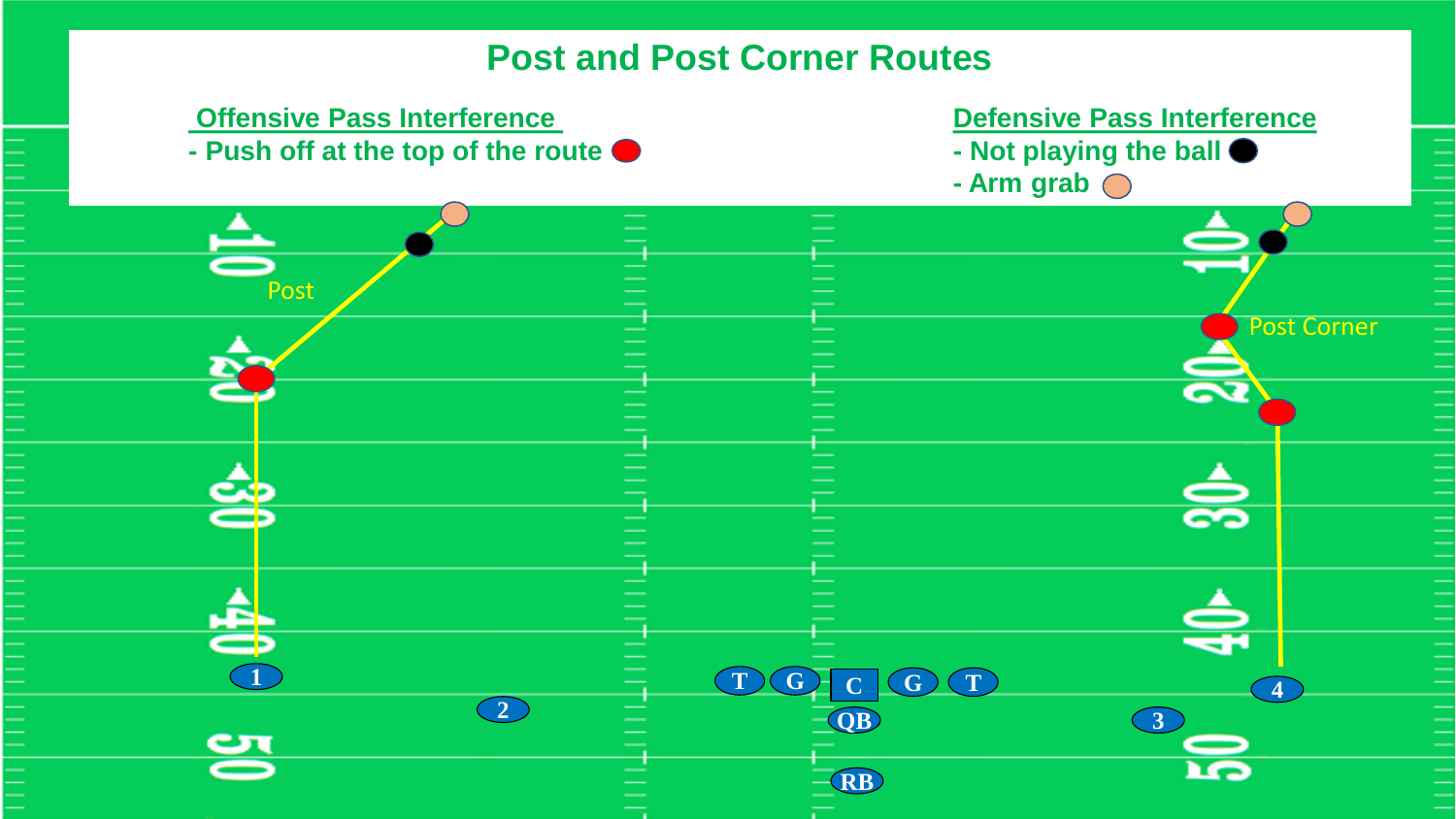# **Post and Post Corner Routes**

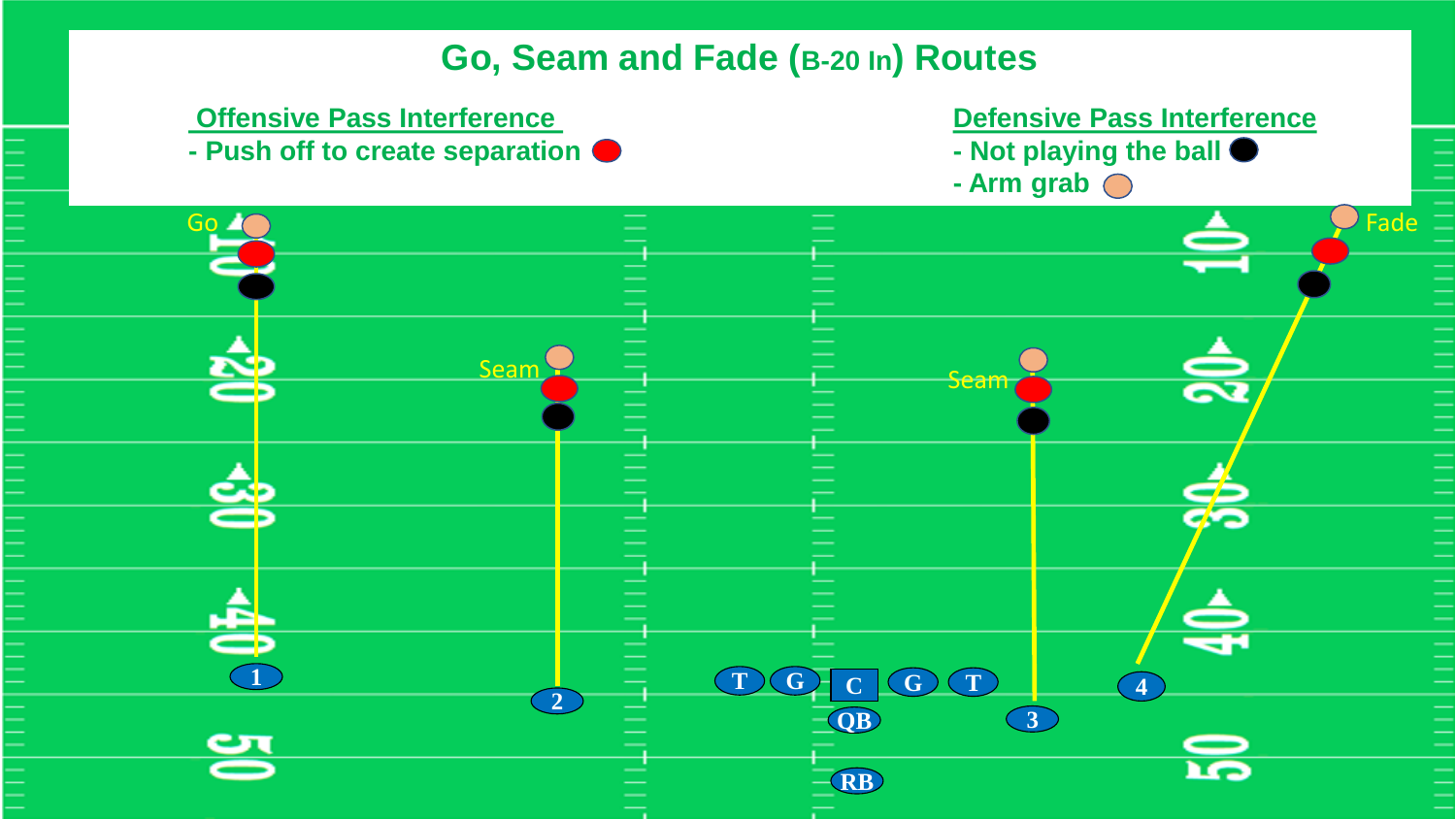# **Go, Seam and Fade (B-20 In) Routes**

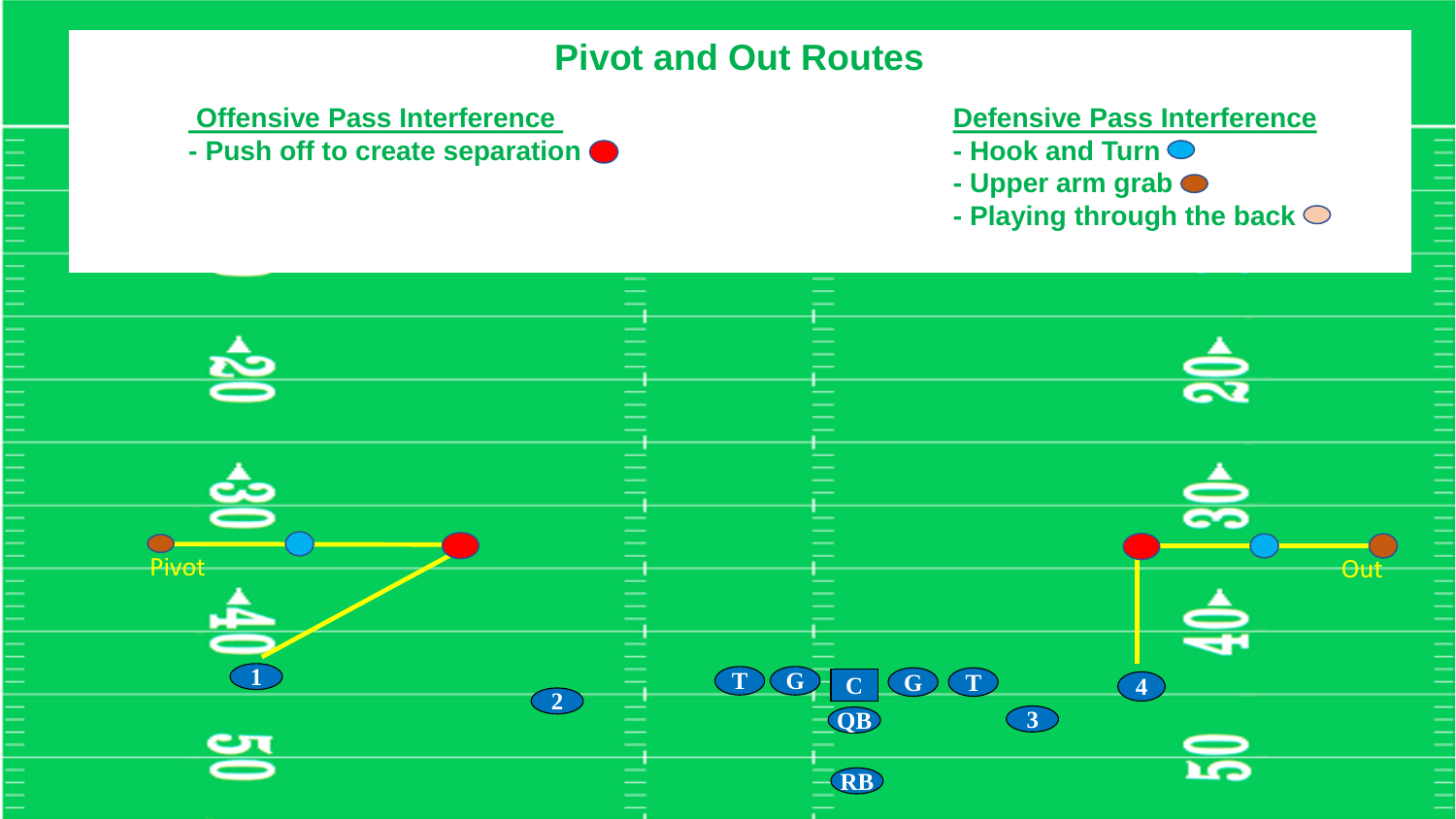# **Pivot and Out Routes**

**- Push off to create separation**  $\bullet$  **<b>Figure 2 - Hook and Turn**  $\bullet$ 

### **Offensive Pass Interference Defensive Pass Interference**

- 
- **- Upper arm grab**
- **- Playing through the back**

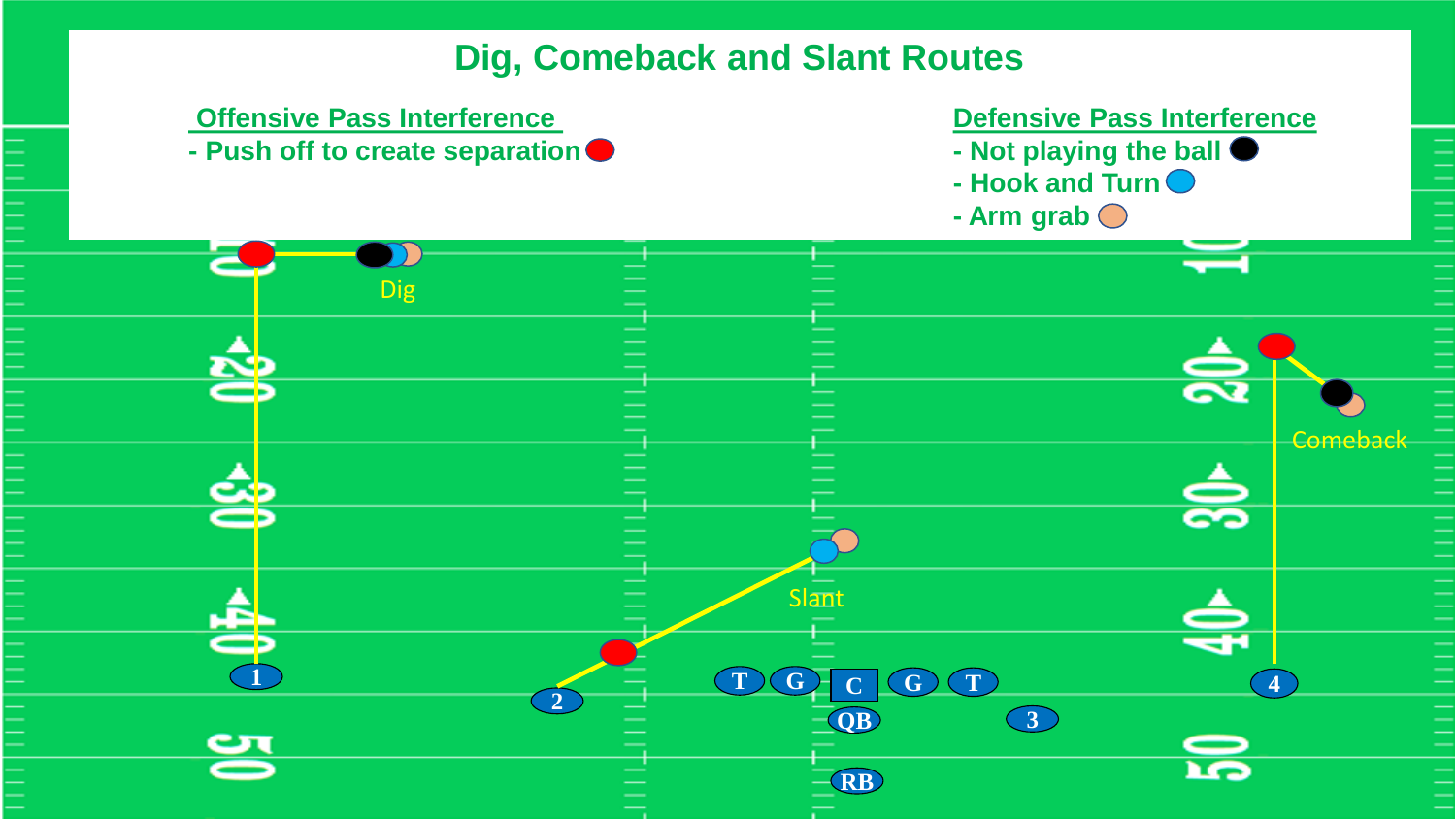# **Dig, Comeback and Slant Routes**

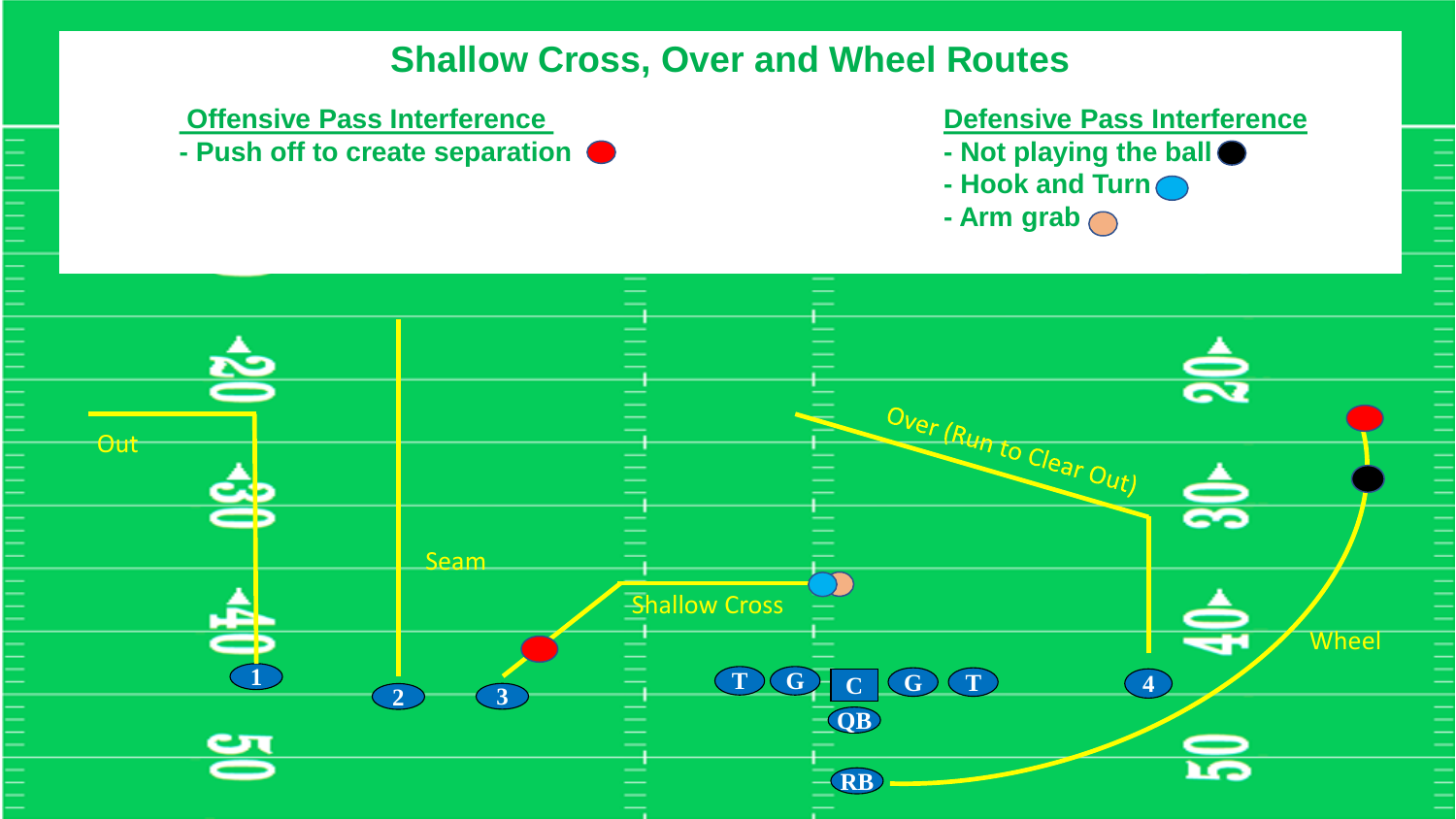# **Shallow Cross, Over and Wheel Routes**

### **Offensive Pass Interference Defensive Pass Interference**

**- Push off to create separation - Not playing the ball**

- 
- **- Hook and Turn**
- **- Arm grab**

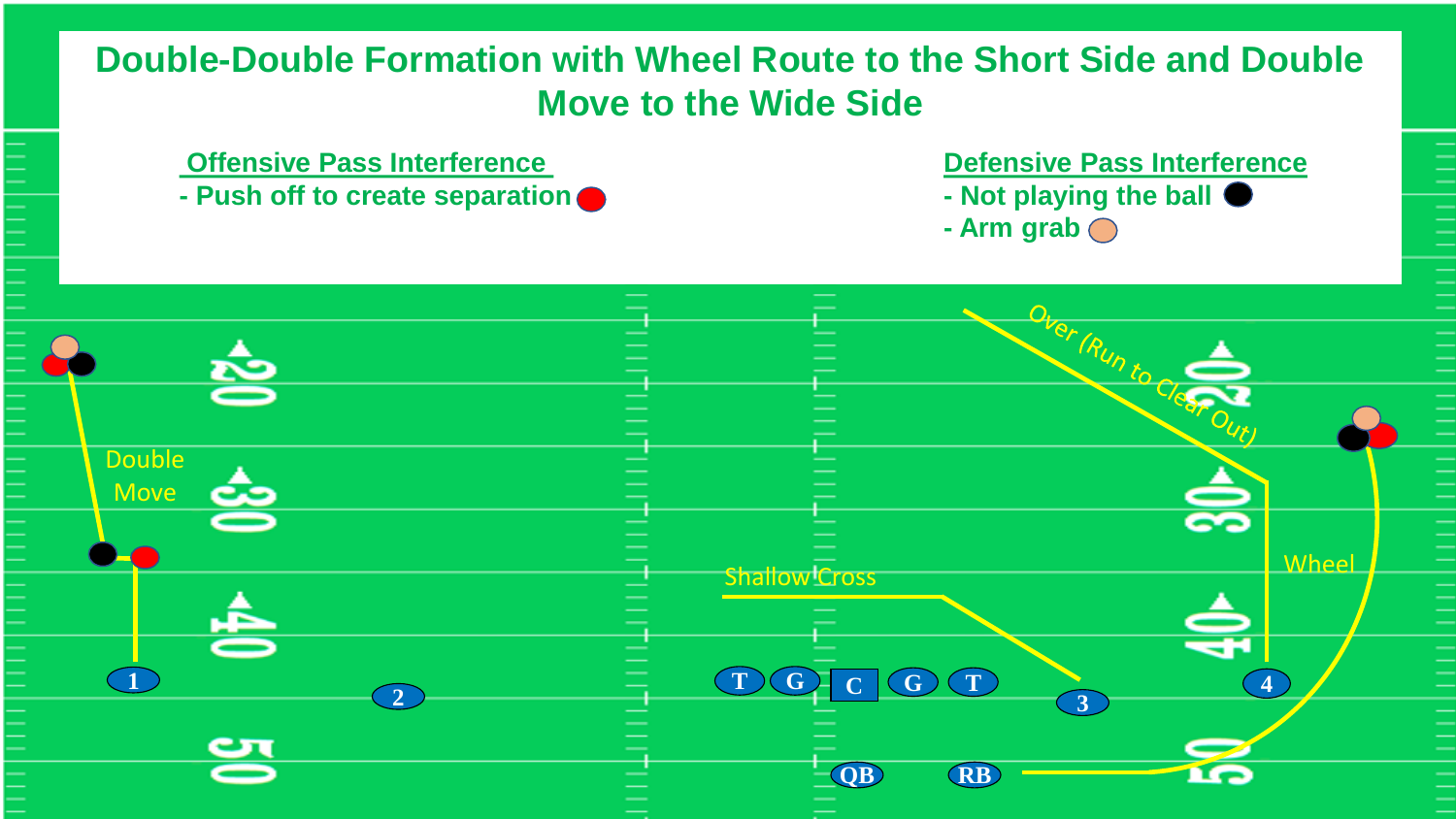# **Double-Double Formation with Wheel Route to the Short Side and Double Move to the Wide Side**

- 
- **- Push off to create separation 1**

**Offensive Pass Interference Contract Contract Contract Defensive Pass Interference** 

 $\frac{1}{1}$ 

- 
- **- Arm grab**

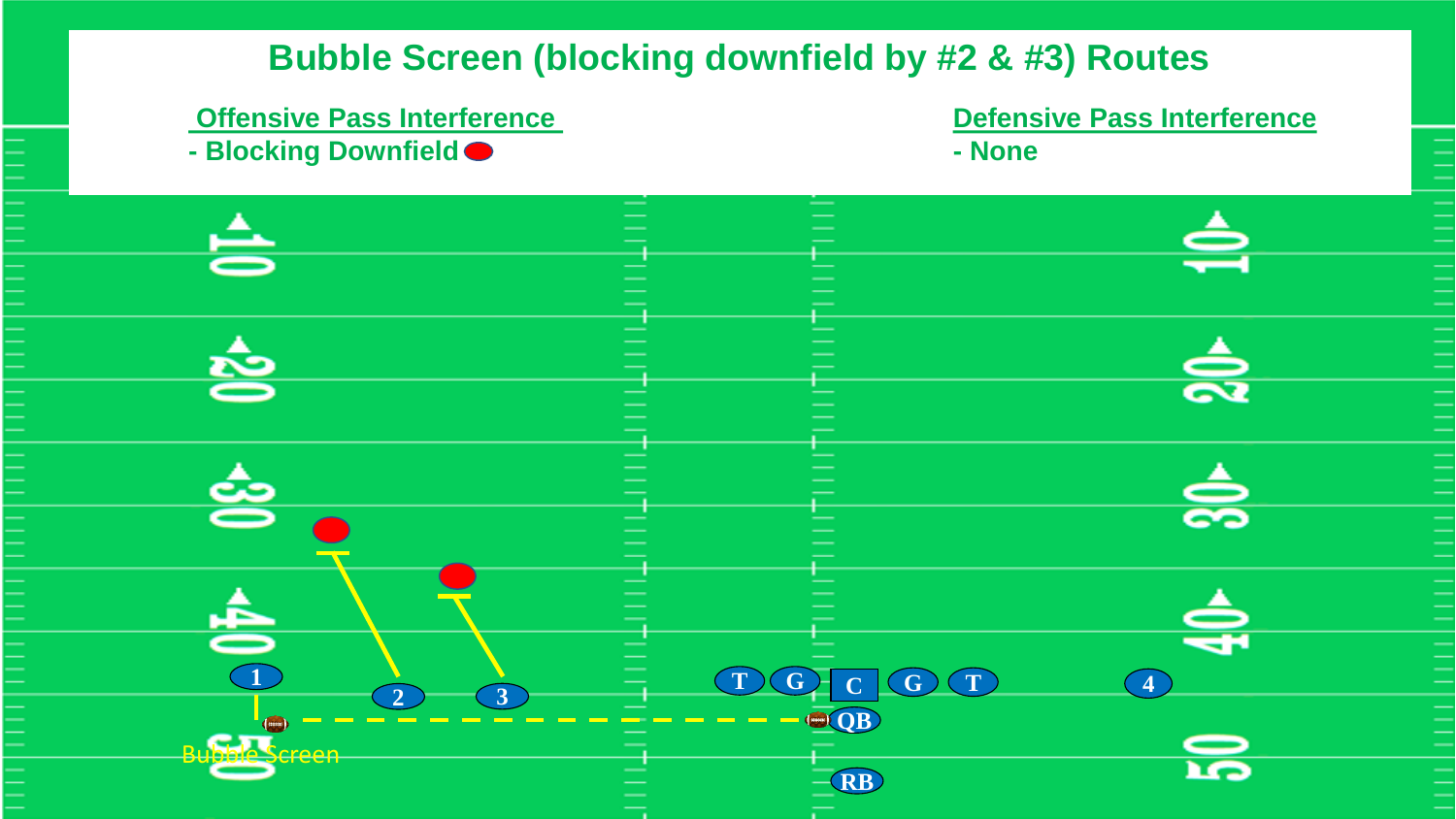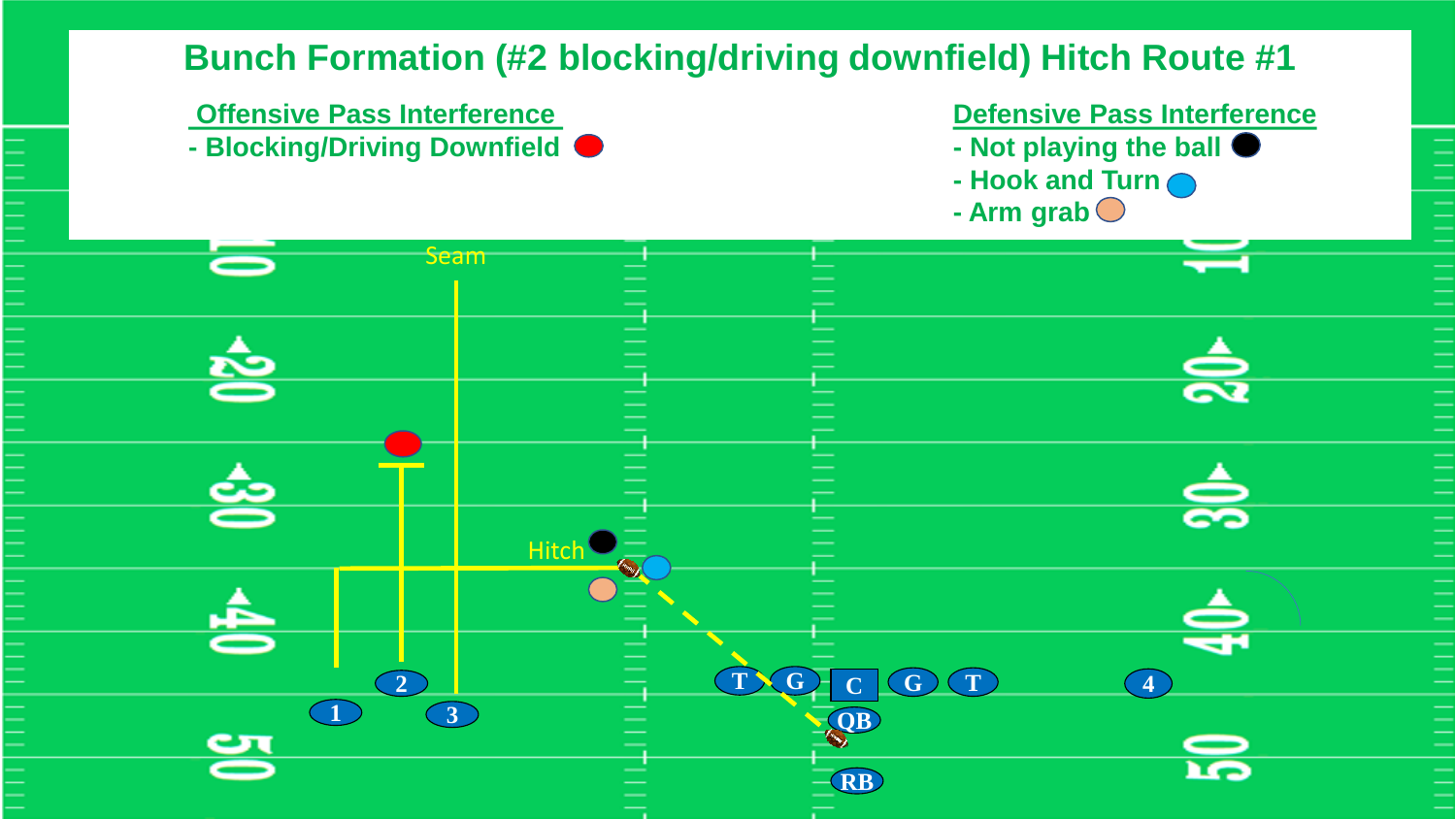# **Bunch Formation (#2 blocking/driving downfield) Hitch Route #1**

**- Blocking/Driving Downfield - Not playing the ball**

**Offensive Pass Interference Defensive Pass Interference** 

- 
- **- Hook and Turn**
- **- Arm grab**